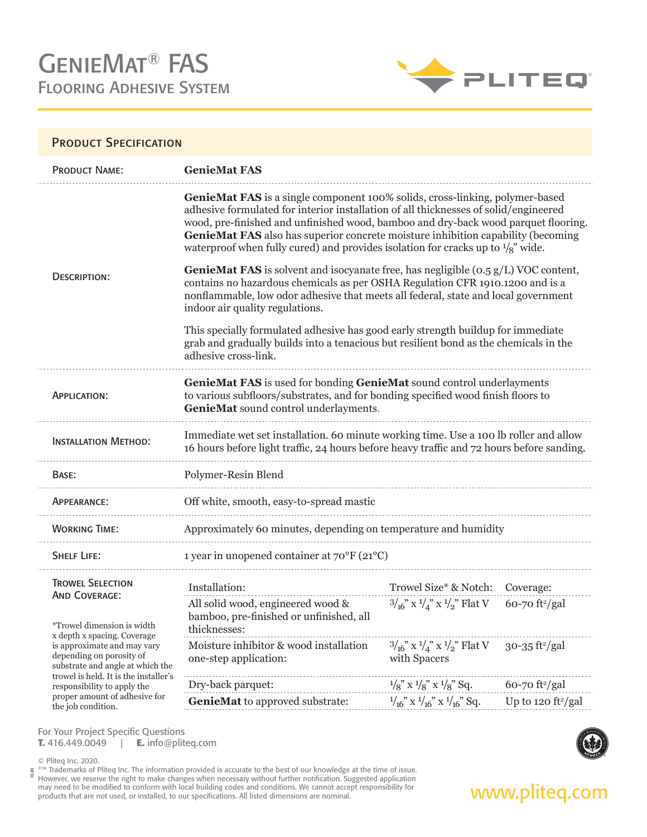

**It's not magic, it's engineering.**®

### PRODUCT SPECIFICATION

| wood, pre-finished and unfinished wood, bamboo and dry-back wood parquet flooring.<br>GenieMat FAS also has superior concrete moisture inhibition capability (becoming             |
|------------------------------------------------------------------------------------------------------------------------------------------------------------------------------------|
| <b>GenieMat FAS</b> is solvent and isocyanate free, has negligible (0.5 g/L) VOC content,<br>nonflammable, low odor adhesive that meets all federal, state and local government    |
| grab and gradually builds into a tenacious but resilient bond as the chemicals in the                                                                                              |
|                                                                                                                                                                                    |
| Immediate wet set installation. 60 minute working time. Use a 100 lb roller and allow<br>16 hours before light traffic, 24 hours before heavy traffic and 72 hours before sanding. |
|                                                                                                                                                                                    |
|                                                                                                                                                                                    |
|                                                                                                                                                                                    |
|                                                                                                                                                                                    |
|                                                                                                                                                                                    |
|                                                                                                                                                                                    |
|                                                                                                                                                                                    |
|                                                                                                                                                                                    |
| Up to 120 $ft^2/gal$                                                                                                                                                               |
|                                                                                                                                                                                    |

For Your Project Specific Questions **T.** 416.449.0049 | **E.** info@pliteq.com

© Pliteq Inc. 2020.

®™ Trademarks of Pliteq Inc. The information provided is accurate to the best of our knowledge at the time of issue. However, we reserve the right to make changes when necessary without further notification. Suggested application may need to be modified to conform with local building codes and conditions. We cannot accept responsibility for **www.pliteg.com**<br>products that are not used, or installed, to our specifications. All listed dimensions are n 10.20